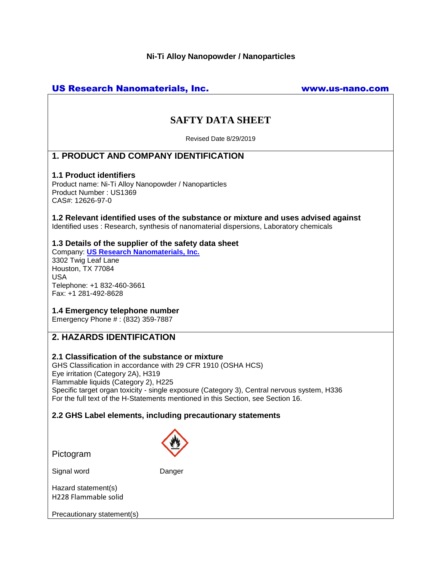#### **Ni-Ti Alloy Nanopowder / Nanoparticles**

# US Research Nanomaterials, Inc. www.us-nano.com

# **SAFTY DATA SHEET**

Revised Date 8/29/2019

# **1. PRODUCT AND COMPANY IDENTIFICATION**

#### **1.1 Product identifiers**

Product name: Ni-Ti Alloy Nanopowder / Nanoparticles Product Number : US1369 CAS#: 12626-97-0

#### **1.2 Relevant identified uses of the substance or mixture and uses advised against** Identified uses : Research, synthesis of nanomaterial dispersions, Laboratory chemicals

# **1.3 Details of the supplier of the safety data sheet**

Company: **[US Research Nanomaterials, Inc.](http://www.us-nano.com/)** 3302 Twig Leaf Lane Houston, TX 77084 USA Telephone: +1 832-460-3661 Fax: +1 281-492-8628

# **1.4 Emergency telephone number**

Emergency Phone # : (832) 359-7887

# **2. HAZARDS IDENTIFICATION**

# **2.1 Classification of the substance or mixture**

GHS Classification in accordance with 29 CFR 1910 (OSHA HCS) Eye irritation (Category 2A), H319 Flammable liquids (Category 2), H225 Specific target organ toxicity - single exposure (Category 3), Central nervous system, H336 For the full text of the H-Statements mentioned in this Section, see Section 16.

# **2.2 GHS Label elements, including precautionary statements**

Pictogram



Signal word Danger

Hazard statement(s) H228 Flammable solid

Precautionary statement(s)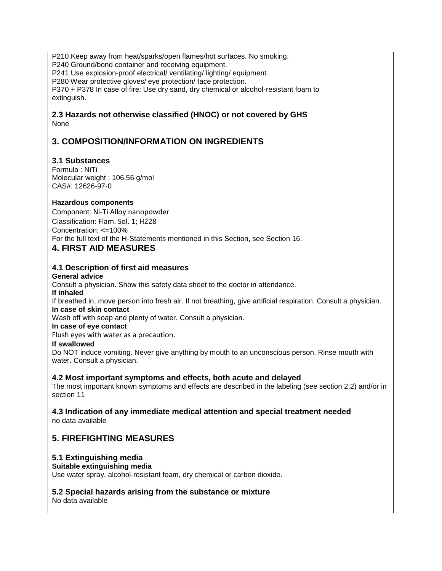P210 Keep away from heat/sparks/open flames/hot surfaces. No smoking. P240 Ground/bond container and receiving equipment. P241 Use explosion-proof electrical/ ventilating/ lighting/ equipment. P280 Wear protective gloves/ eye protection/ face protection. P370 + P378 In case of fire: Use dry sand, dry chemical or alcohol-resistant foam to extinguish.

### **2.3 Hazards not otherwise classified (HNOC) or not covered by GHS** None

# **3. COMPOSITION/INFORMATION ON INGREDIENTS**

# **3.1 Substances**

Formula : NiTi Molecular weight : 106.56 g/mol CAS#: 12626-97-0

# **Hazardous components**

Component: Ni-Ti Alloy nanopowder Classification: Flam. Sol. 1; H228 Concentration: <=100% For the full text of the H-Statements mentioned in this Section, see Section 16.

# **4. FIRST AID MEASURES**

#### **4.1 Description of first aid measures**

#### **General advice**

Consult a physician. Show this safety data sheet to the doctor in attendance.

#### **If inhaled**

If breathed in, move person into fresh air. If not breathing, give artificial respiration. Consult a physician. **In case of skin contact**

Wash off with soap and plenty of water. Consult a physician.

#### **In case of eye contact**

Flush eyes with water as a precaution.

#### **If swallowed**

Do NOT induce vomiting. Never give anything by mouth to an unconscious person. Rinse mouth with water. Consult a physician.

#### **4.2 Most important symptoms and effects, both acute and delayed**

The most important known symptoms and effects are described in the labeling (see section 2.2) and/or in section 11

# **4.3 Indication of any immediate medical attention and special treatment needed**

no data available

# **5. FIREFIGHTING MEASURES**

#### **5.1 Extinguishing media**

#### **Suitable extinguishing media**

Use water spray, alcohol-resistant foam, dry chemical or carbon dioxide.

# **5.2 Special hazards arising from the substance or mixture**

No data available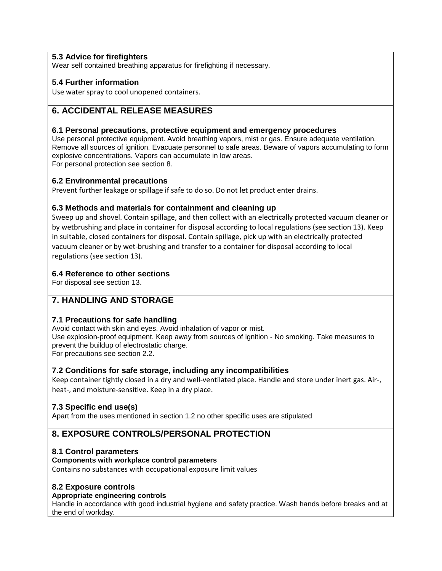# **5.3 Advice for firefighters**

Wear self contained breathing apparatus for firefighting if necessary.

# **5.4 Further information**

Use water spray to cool unopened containers.

# **6. ACCIDENTAL RELEASE MEASURES**

### **6.1 Personal precautions, protective equipment and emergency procedures**

Use personal protective equipment. Avoid breathing vapors, mist or gas. Ensure adequate ventilation. Remove all sources of ignition. Evacuate personnel to safe areas. Beware of vapors accumulating to form explosive concentrations. Vapors can accumulate in low areas. For personal protection see section 8.

# **6.2 Environmental precautions**

Prevent further leakage or spillage if safe to do so. Do not let product enter drains.

# **6.3 Methods and materials for containment and cleaning up**

Sweep up and shovel. Contain spillage, and then collect with an electrically protected vacuum cleaner or by wetbrushing and place in container for disposal according to local regulations (see section 13). Keep in suitable, closed containers for disposal. Contain spillage, pick up with an electrically protected vacuum cleaner or by wet-brushing and transfer to a container for disposal according to local regulations (see section 13).

# **6.4 Reference to other sections**

For disposal see section 13.

# **7. HANDLING AND STORAGE**

# **7.1 Precautions for safe handling**

Avoid contact with skin and eyes. Avoid inhalation of vapor or mist.

Use explosion-proof equipment. Keep away from sources of ignition - No smoking. Take measures to prevent the buildup of electrostatic charge.

For precautions see section 2.2.

# **7.2 Conditions for safe storage, including any incompatibilities**

Keep container tightly closed in a dry and well-ventilated place. Handle and store under inert gas. Air-, heat-, and moisture-sensitive. Keep in a dry place.

# **7.3 Specific end use(s)**

Apart from the uses mentioned in section 1.2 no other specific uses are stipulated

# **8. EXPOSURE CONTROLS/PERSONAL PROTECTION**

# **8.1 Control parameters**

#### **Components with workplace control parameters**

Contains no substances with occupational exposure limit values

# **8.2 Exposure controls**

#### **Appropriate engineering controls**

Handle in accordance with good industrial hygiene and safety practice. Wash hands before breaks and at the end of workday.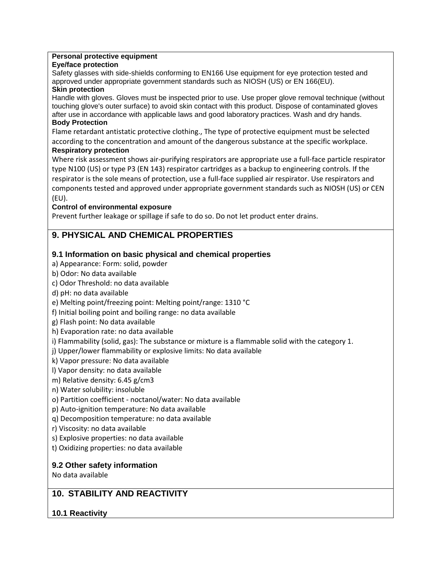#### **Personal protective equipment**

#### **Eye/face protection**

Safety glasses with side-shields conforming to EN166 Use equipment for eye protection tested and approved under appropriate government standards such as NIOSH (US) or EN 166(EU).

### **Skin protection**

Handle with gloves. Gloves must be inspected prior to use. Use proper glove removal technique (without touching glove's outer surface) to avoid skin contact with this product. Dispose of contaminated gloves after use in accordance with applicable laws and good laboratory practices. Wash and dry hands.

### **Body Protection**

Flame retardant antistatic protective clothing., The type of protective equipment must be selected according to the concentration and amount of the dangerous substance at the specific workplace.

# **Respiratory protection**

Where risk assessment shows air-purifying respirators are appropriate use a full-face particle respirator type N100 (US) or type P3 (EN 143) respirator cartridges as a backup to engineering controls. If the respirator is the sole means of protection, use a full-face supplied air respirator. Use respirators and components tested and approved under appropriate government standards such as NIOSH (US) or CEN (EU).

# **Control of environmental exposure**

Prevent further leakage or spillage if safe to do so. Do not let product enter drains.

# **9. PHYSICAL AND CHEMICAL PROPERTIES**

# **9.1 Information on basic physical and chemical properties**

a) Appearance: Form: solid, powder

- b) Odor: No data available
- c) Odor Threshold: no data available
- d) pH: no data available
- e) Melting point/freezing point: Melting point/range: 1310 °C

f) Initial boiling point and boiling range: no data available

- g) Flash point: No data available
- h) Evaporation rate: no data available
- i) Flammability (solid, gas): The substance or mixture is a flammable solid with the category 1.

j) Upper/lower flammability or explosive limits: No data available

- k) Vapor pressure: No data available
- l) Vapor density: no data available
- m) Relative density: 6.45 g/cm3
- n) Water solubility: insoluble
- o) Partition coefficient noctanol/water: No data available
- p) Auto-ignition temperature: No data available
- q) Decomposition temperature: no data available
- r) Viscosity: no data available
- s) Explosive properties: no data available
- t) Oxidizing properties: no data available

# **9.2 Other safety information**

No data available

# **10. STABILITY AND REACTIVITY**

# **10.1 Reactivity**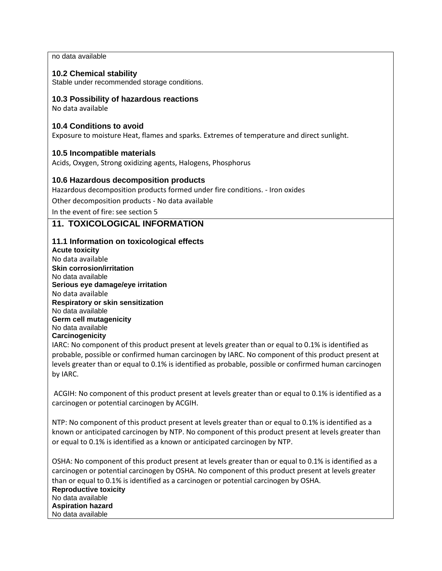no data available

# **10.2 Chemical stability**

Stable under recommended storage conditions.

# **10.3 Possibility of hazardous reactions**

No data available

# **10.4 Conditions to avoid**

Exposure to moisture Heat, flames and sparks. Extremes of temperature and direct sunlight.

# **10.5 Incompatible materials**

Acids, Oxygen, Strong oxidizing agents, Halogens, Phosphorus

# **10.6 Hazardous decomposition products**

Hazardous decomposition products formed under fire conditions. - Iron oxides

Other decomposition products - No data available

In the event of fire: see section 5

# **11. TOXICOLOGICAL INFORMATION**

# **11.1 Information on toxicological effects**

**Acute toxicity** No data available **Skin corrosion/irritation** No data available **Serious eye damage/eye irritation** No data available **Respiratory or skin sensitization** No data available **Germ cell mutagenicity** No data available **Carcinogenicity**

IARC: No component of this product present at levels greater than or equal to 0.1% is identified as probable, possible or confirmed human carcinogen by IARC. No component of this product present at levels greater than or equal to 0.1% is identified as probable, possible or confirmed human carcinogen by IARC.

ACGIH: No component of this product present at levels greater than or equal to 0.1% is identified as a carcinogen or potential carcinogen by ACGIH.

NTP: No component of this product present at levels greater than or equal to 0.1% is identified as a known or anticipated carcinogen by NTP. No component of this product present at levels greater than or equal to 0.1% is identified as a known or anticipated carcinogen by NTP.

OSHA: No component of this product present at levels greater than or equal to 0.1% is identified as a carcinogen or potential carcinogen by OSHA. No component of this product present at levels greater than or equal to 0.1% is identified as a carcinogen or potential carcinogen by OSHA. **Reproductive toxicity** No data available **Aspiration hazard** No data available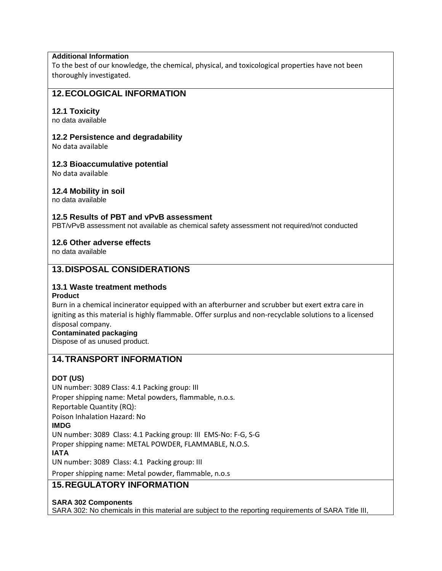# **Additional Information**

To the best of our knowledge, the chemical, physical, and toxicological properties have not been thoroughly investigated.

# **12.ECOLOGICAL INFORMATION**

#### **12.1 Toxicity**

no data available

#### **12.2 Persistence and degradability**

No data available

#### **12.3 Bioaccumulative potential**

No data available

#### **12.4 Mobility in soil**

no data available

#### **12.5 Results of PBT and vPvB assessment**

PBT/vPvB assessment not available as chemical safety assessment not required/not conducted

#### **12.6 Other adverse effects**

no data available

# **13.DISPOSAL CONSIDERATIONS**

# **13.1 Waste treatment methods**

#### **Product**

Burn in a chemical incinerator equipped with an afterburner and scrubber but exert extra care in igniting as this material is highly flammable. Offer surplus and non-recyclable solutions to a licensed disposal company.

#### **Contaminated packaging**

Dispose of as unused product.

# **14.TRANSPORT INFORMATION**

# **DOT (US)**

UN number: 3089 Class: 4.1 Packing group: III Proper shipping name: Metal powders, flammable, n.o.s. Reportable Quantity (RQ): Poison Inhalation Hazard: No **IMDG** UN number: 3089 Class: 4.1 Packing group: III EMS-No: F-G, S-G Proper shipping name: METAL POWDER, FLAMMABLE, N.O.S. **IATA** UN number: 3089 Class: 4.1 Packing group: III

Proper shipping name: Metal powder, flammable, n.o.s

# **15.REGULATORY INFORMATION**

**SARA 302 Components**

SARA 302: No chemicals in this material are subject to the reporting requirements of SARA Title III,